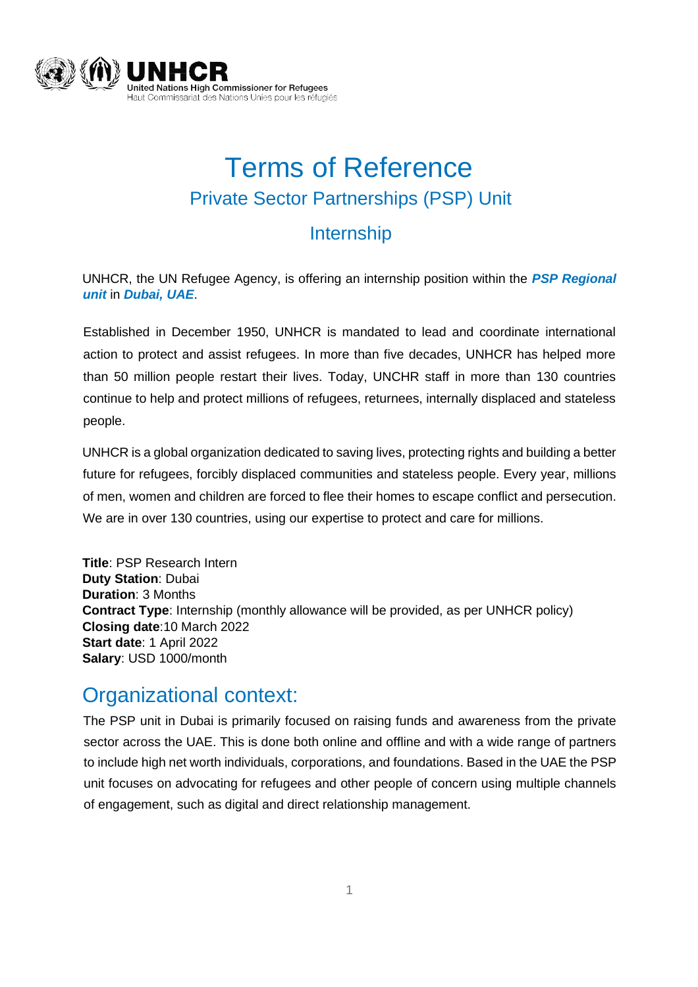

# Terms of Reference Private Sector Partnerships (PSP) Unit

#### Internship

UNHCR, the UN Refugee Agency, is offering an internship position within the *PSP Regional unit* in *Dubai, UAE*.

Established in December 1950, UNHCR is mandated to lead and coordinate international action to protect and assist refugees. In more than five decades, UNHCR has helped more than 50 million people restart their lives. Today, UNCHR staff in more than 130 countries continue to help and protect millions of refugees, returnees, internally displaced and stateless people.

UNHCR is a global organization dedicated to saving lives, protecting rights and building a better future for refugees, forcibly displaced communities and stateless people. Every year, millions of men, women and children are forced to flee their homes to escape conflict and persecution. We are in over 130 countries, using our expertise to protect and care for millions.

**Title**: PSP Research Intern **Duty Station**: Dubai **Duration**: 3 Months **Contract Type**: Internship (monthly allowance will be provided, as per UNHCR policy) **Closing date**:10 March 2022 **Start date**: 1 April 2022 **Salary**: USD 1000/month

#### Organizational context:

The PSP unit in Dubai is primarily focused on raising funds and awareness from the private sector across the UAE. This is done both online and offline and with a wide range of partners to include high net worth individuals, corporations, and foundations. Based in the UAE the PSP unit focuses on advocating for refugees and other people of concern using multiple channels of engagement, such as digital and direct relationship management.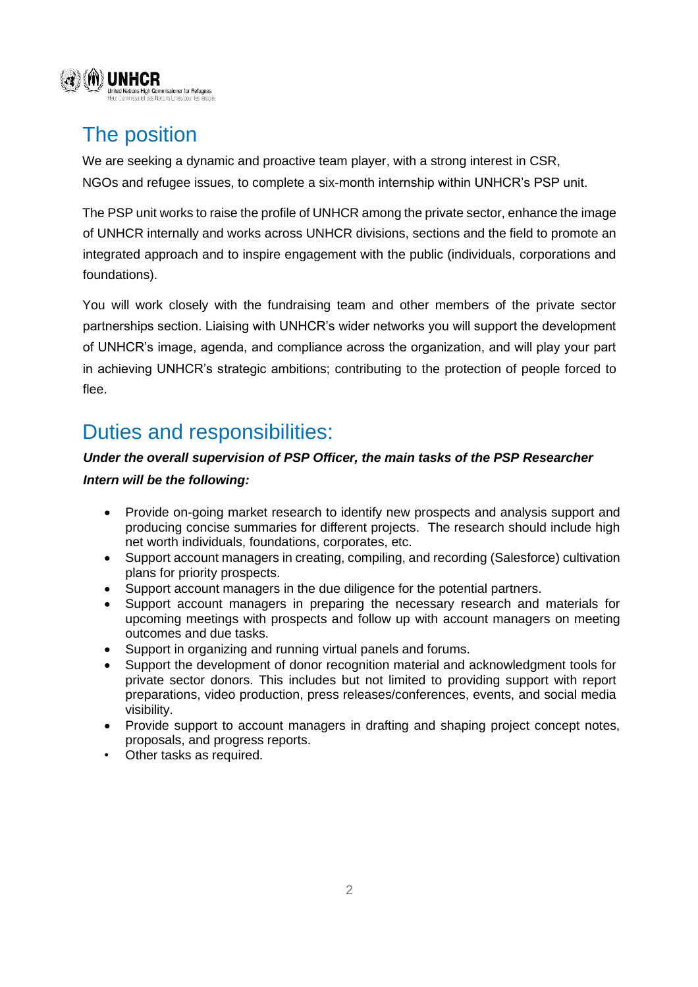

### The position

We are seeking a dynamic and proactive team player, with a strong interest in CSR, NGOs and refugee issues, to complete a six-month internship within UNHCR's PSP unit.

The PSP unit works to raise the profile of UNHCR among the private sector, enhance the image of UNHCR internally and works across UNHCR divisions, sections and the field to promote an integrated approach and to inspire engagement with the public (individuals, corporations and foundations).

You will work closely with the fundraising team and other members of the private sector partnerships section. Liaising with UNHCR's wider networks you will support the development of UNHCR's image, agenda, and compliance across the organization, and will play your part in achieving UNHCR's strategic ambitions; contributing to the protection of people forced to flee.

### Duties and responsibilities:

#### *Under the overall supervision of PSP Officer, the main tasks of the PSP Researcher*

*Intern will be the following:* 

- Provide on-going market research to identify new prospects and analysis support and producing concise summaries for different projects. The research should include high net worth individuals, foundations, corporates, etc.
- Support account managers in creating, compiling, and recording (Salesforce) cultivation plans for priority prospects.
- Support account managers in the due diligence for the potential partners.
- Support account managers in preparing the necessary research and materials for upcoming meetings with prospects and follow up with account managers on meeting outcomes and due tasks.
- Support in organizing and running virtual panels and forums.
- Support the development of donor recognition material and acknowledgment tools for private sector donors. This includes but not limited to providing support with report preparations, video production, press releases/conferences, events, and social media visibility.
- Provide support to account managers in drafting and shaping project concept notes, proposals, and progress reports.
- Other tasks as required.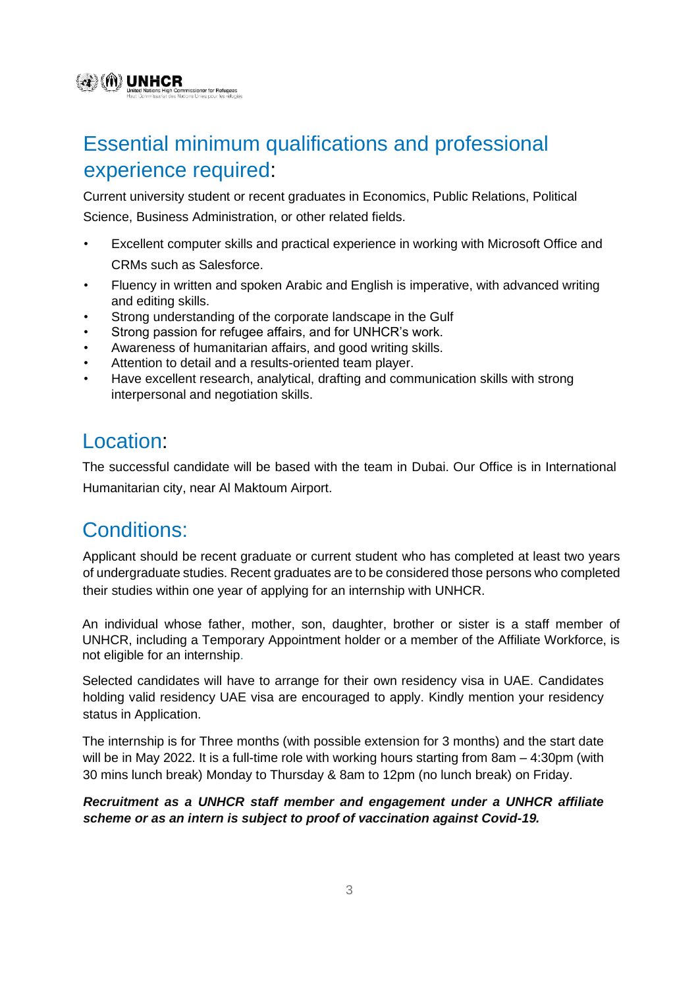## Essential minimum qualifications and professional experience required:

Current university student or recent graduates in Economics, Public Relations, Political Science, Business Administration, or other related fields.

- Excellent computer skills and practical experience in working with Microsoft Office and CRMs such as Salesforce.
- Fluency in written and spoken Arabic and English is imperative, with advanced writing and editing skills.
- Strong understanding of the corporate landscape in the Gulf
- Strong passion for refugee affairs, and for UNHCR's work.
- Awareness of humanitarian affairs, and good writing skills.
- Attention to detail and a results-oriented team player.
- Have excellent research, analytical, drafting and communication skills with strong interpersonal and negotiation skills.

#### Location:

@ (M) UNHCR

missioner for Refugees

The successful candidate will be based with the team in Dubai. Our Office is in International Humanitarian city, near Al Maktoum Airport.

### Conditions:

Applicant should be recent graduate or current student who has completed at least two years of undergraduate studies. Recent graduates are to be considered those persons who completed their studies within one year of applying for an internship with UNHCR.

An individual whose father, mother, son, daughter, brother or sister is a staff member of UNHCR, including a Temporary Appointment holder or a member of the Affiliate Workforce, is not eligible for an internship.

Selected candidates will have to arrange for their own residency visa in UAE. Candidates holding valid residency UAE visa are encouraged to apply. Kindly mention your residency status in Application.

The internship is for Three months (with possible extension for 3 months) and the start date will be in May 2022. It is a full-time role with working hours starting from 8am – 4:30pm (with 30 mins lunch break) Monday to Thursday & 8am to 12pm (no lunch break) on Friday.

#### *Recruitment as a UNHCR staff member and engagement under a UNHCR affiliate scheme or as an intern is subject to proof of vaccination against Covid-19.*